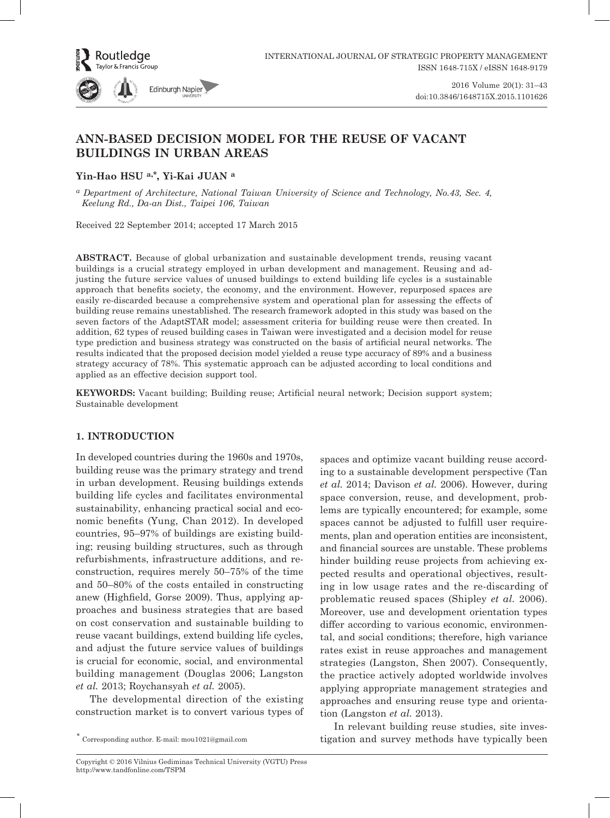

# **ANN-BASED DECISION MODEL FOR THE REUSE OF VACANT BUILDINGS IN URBAN AREAS**

**Yin-Hao HSU a,\*, Yi-Kai JUAN <sup>a</sup>**

*a Department of Architecture, National Taiwan University of Science and Technology, No.43, Sec. 4, Keelung Rd., Da-an Dist., Taipei 106, Taiwan*

Received 22 September 2014; accepted 17 March 2015

**Abstract.** Because of global urbanization and sustainable development trends, reusing vacant buildings is a crucial strategy employed in urban development and management. Reusing and adjusting the future service values of unused buildings to extend building life cycles is a sustainable approach that benefits society, the economy, and the environment. However, repurposed spaces are easily re-discarded because a comprehensive system and operational plan for assessing the effects of building reuse remains unestablished. The research framework adopted in this study was based on the seven factors of the AdaptSTAR model; assessment criteria for building reuse were then created. In addition, 62 types of reused building cases in Taiwan were investigated and a decision model for reuse type prediction and business strategy was constructed on the basis of artificial neural networks. The results indicated that the proposed decision model yielded a reuse type accuracy of 89% and a business strategy accuracy of 78%. This systematic approach can be adjusted according to local conditions and applied as an effective decision support tool.

**KEYWORDS:** Vacant building; Building reuse; Artificial neural network; Decision support system; Sustainable development

# **1. Introduction**

In developed countries during the 1960s and 1970s, building reuse was the primary strategy and trend in urban development. Reusing buildings extends building life cycles and facilitates environmental sustainability, enhancing practical social and economic benefits (Yung, Chan 2012). In developed countries, 95–97% of buildings are existing building; reusing building structures, such as through refurbishments, infrastructure additions, and reconstruction, requires merely 50–75% of the time and 50–80% of the costs entailed in constructing anew (Highfield, Gorse 2009). Thus, applying approaches and business strategies that are based on cost conservation and sustainable building to reuse vacant buildings, extend building life cycles, and adjust the future service values of buildings is crucial for economic, social, and environmental building management (Douglas 2006; Langston *et al.* 2013; Roychansyah *et al.* 2005).

The developmental direction of the existing construction market is to convert various types of spaces and optimize vacant building reuse according to a sustainable development perspective (Tan *et al.* 2014; Davison *et al.* 2006). However, during space conversion, reuse, and development, problems are typically encountered; for example, some spaces cannot be adjusted to fulfill user requirements, plan and operation entities are inconsistent, and financial sources are unstable. These problems hinder building reuse projects from achieving expected results and operational objectives, resulting in low usage rates and the re-discarding of problematic reused spaces (Shipley *et al.* 2006). Moreover, use and development orientation types differ according to various economic, environmental, and social conditions; therefore, high variance rates exist in reuse approaches and management strategies (Langston, Shen 2007). Consequently, the practice actively adopted worldwide involves applying appropriate management strategies and approaches and ensuring reuse type and orientation (Langston *et al.* 2013).

In relevant building reuse studies, site inves-\* Corresponding author. E-mail: mou1021@gmail.com \* tigation and survey methods have typically been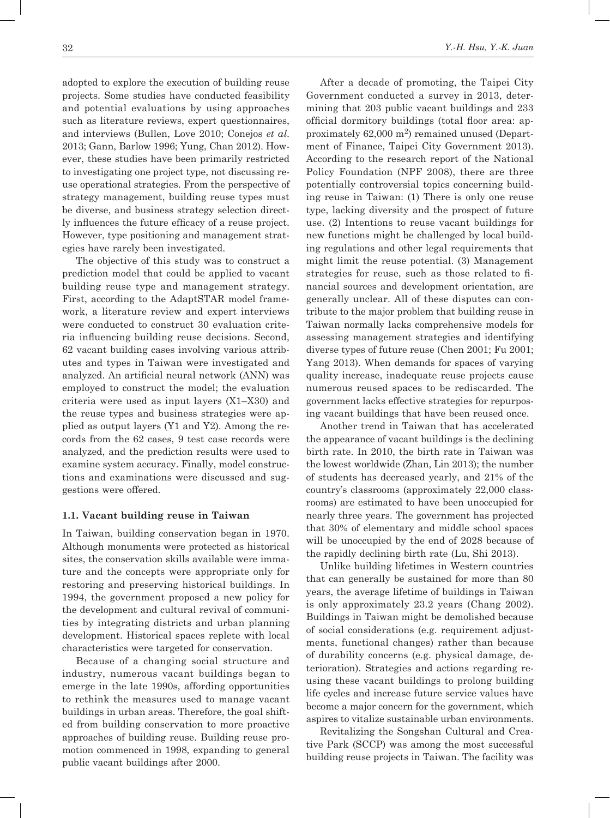adopted to explore the execution of building reuse projects. Some studies have conducted feasibility and potential evaluations by using approaches such as literature reviews, expert questionnaires, and interviews (Bullen, Love 2010; Conejos *et al*. 2013; Gann, Barlow 1996; Yung, Chan 2012). However, these studies have been primarily restricted to investigating one project type, not discussing reuse operational strategies. From the perspective of strategy management, building reuse types must be diverse, and business strategy selection directly influences the future efficacy of a reuse project. However, type positioning and management strategies have rarely been investigated.

The objective of this study was to construct a prediction model that could be applied to vacant building reuse type and management strategy. First, according to the AdaptSTAR model framework, a literature review and expert interviews were conducted to construct 30 evaluation criteria influencing building reuse decisions. Second, 62 vacant building cases involving various attributes and types in Taiwan were investigated and analyzed. An artificial neural network (ANN) was employed to construct the model; the evaluation criteria were used as input layers (X1–X30) and the reuse types and business strategies were applied as output layers (Y1 and Y2). Among the records from the 62 cases, 9 test case records were analyzed, and the prediction results were used to examine system accuracy. Finally, model constructions and examinations were discussed and suggestions were offered.

#### **1.1. Vacant building reuse in Taiwan**

In Taiwan, building conservation began in 1970. Although monuments were protected as historical sites, the conservation skills available were immature and the concepts were appropriate only for restoring and preserving historical buildings. In 1994, the government proposed a new policy for the development and cultural revival of communities by integrating districts and urban planning development. Historical spaces replete with local characteristics were targeted for conservation.

Because of a changing social structure and industry, numerous vacant buildings began to emerge in the late 1990s, affording opportunities to rethink the measures used to manage vacant buildings in urban areas. Therefore, the goal shifted from building conservation to more proactive approaches of building reuse. Building reuse promotion commenced in 1998, expanding to general public vacant buildings after 2000.

After a decade of promoting, the Taipei City Government conducted a survey in 2013, determining that 203 public vacant buildings and 233 official dormitory buildings (total floor area: approximately  $62,000$  m<sup>2</sup>) remained unused (Department of Finance, Taipei City Government 2013). According to the research report of the National Policy Foundation (NPF 2008), there are three potentially controversial topics concerning building reuse in Taiwan: (1) There is only one reuse type, lacking diversity and the prospect of future use. (2) Intentions to reuse vacant buildings for new functions might be challenged by local building regulations and other legal requirements that might limit the reuse potential. (3) Management strategies for reuse, such as those related to financial sources and development orientation, are generally unclear. All of these disputes can contribute to the major problem that building reuse in Taiwan normally lacks comprehensive models for assessing management strategies and identifying diverse types of future reuse (Chen 2001; Fu 2001; Yang 2013). When demands for spaces of varying quality increase, inadequate reuse projects cause numerous reused spaces to be rediscarded. The government lacks effective strategies for repurposing vacant buildings that have been reused once.

Another trend in Taiwan that has accelerated the appearance of vacant buildings is the declining birth rate. In 2010, the birth rate in Taiwan was the lowest worldwide (Zhan, Lin 2013); the number of students has decreased yearly, and 21% of the country's classrooms (approximately 22,000 classrooms) are estimated to have been unoccupied for nearly three years. The government has projected that 30% of elementary and middle school spaces will be unoccupied by the end of 2028 because of the rapidly declining birth rate (Lu, Shi 2013).

Unlike building lifetimes in Western countries that can generally be sustained for more than 80 years, the average lifetime of buildings in Taiwan is only approximately 23.2 years (Chang 2002). Buildings in Taiwan might be demolished because of social considerations (e.g. requirement adjustments, functional changes) rather than because of durability concerns (e.g. physical damage, deterioration). Strategies and actions regarding reusing these vacant buildings to prolong building life cycles and increase future service values have become a major concern for the government, which aspires to vitalize sustainable urban environments.

Revitalizing the Songshan Cultural and Creative Park (SCCP) was among the most successful building reuse projects in Taiwan. The facility was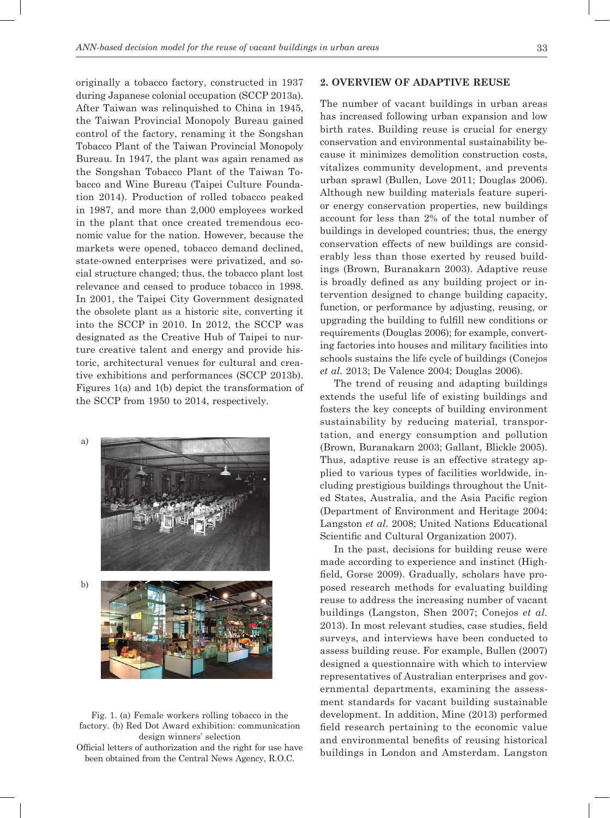originally a tobacco factory, constructed in 1937 during Japanese colonial occupation (SCCP 2013a). After Taiwan was relinquished to China in 1945, the Taiwan Provincial Monopoly Bureau gained control of the factory, renaming it the Songshan Tobacco Plant of the Taiwan Provincial Monopoly Bureau. In 1947, the plant was again renamed as the Songshan Tobacco Plant of the Taiwan Tobacco and Wine Bureau (Taipei Culture Foundation 2014). Production of rolled tobacco peaked in 1987, and more than 2,000 employees worked in the plant that once created tremendous economic value for the nation. However, because the markets were opened, tobacco demand declined, state-owned enterprises were privatized, and social structure changed; thus, the tobacco plant lost relevance and ceased to produce tobacco in 1998. In 2001, the Taipei City Government designated the obsolete plant as a historic site, converting it into the SCCP in 2010. In 2012, the SCCP was designated as the Creative Hub of Taipei to nurture creative talent and energy and provide historic, architectural venues for cultural and creative exhibitions and performances (SCCP 2013b). Figures 1(a) and 1(b) depict the transformation of the SCCP from 1950 to 2014, respectively.



Fig. 1. (a) Female workers rolling tobacco in the factory. (b) Red Dot Award exhibition: communication design winners' selection Official letters of authorization and the right for use have been obtained from the Central News Agency, R.O.C.

#### **2. OVERVIEW OF ADAPTIVE REUSE**

The number of vacant buildings in urban areas has increased following urban expansion and low birth rates. Building reuse is crucial for energy conservation and environmental sustainability because it minimizes demolition construction costs, vitalizes community development, and prevents urban sprawl (Bullen, Love 2011; Douglas 2006). Although new building materials feature superior energy conservation properties, new buildings account for less than 2% of the total number of buildings in developed countries; thus, the energy conservation effects of new buildings are considerably less than those exerted by reused buildings (Brown, Buranakarn 2003). Adaptive reuse is broadly defined as any building project or intervention designed to change building capacity, function, or performance by adjusting, reusing, or upgrading the building to fulfill new conditions or requirements (Douglas 2006); for example, converting factories into houses and military facilities into schools sustains the life cycle of buildings (Conejos *et al*. 2013; De Valence 2004; Douglas 2006).

The trend of reusing and adapting buildings extends the useful life of existing buildings and fosters the key concepts of building environment sustainability by reducing material, transportation, and energy consumption and pollution (Brown, Buranakarn 2003; Gallant, Blickle 2005). Thus, adaptive reuse is an effective strategy applied to various types of facilities worldwide, including prestigious buildings throughout the United States, Australia, and the Asia Pacific region (Department of Environment and Heritage 2004; Langston *et al*. 2008; United Nations Educational Scientific and Cultural Organization 2007).

In the past, decisions for building reuse were made according to experience and instinct (Highfield, Gorse 2009). Gradually, scholars have proposed research methods for evaluating building reuse to address the increasing number of vacant buildings (Langston, Shen 2007; Conejos *et al.* 2013). In most relevant studies, case studies, field surveys, and interviews have been conducted to assess building reuse. For example, Bullen (2007) designed a questionnaire with which to interview representatives of Australian enterprises and governmental departments, examining the assessment standards for vacant building sustainable development. In addition, Mine (2013) performed field research pertaining to the economic value and environmental benefits of reusing historical buildings in London and Amsterdam. Langston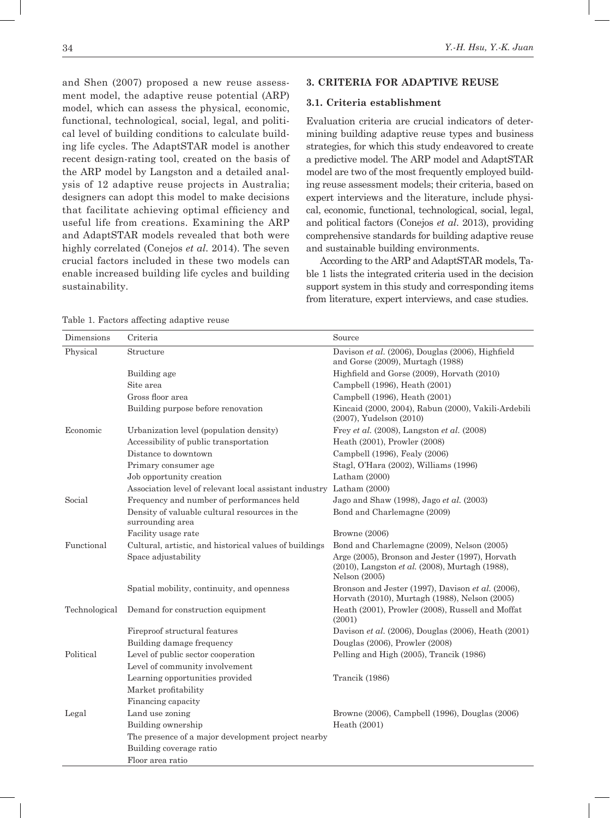and Shen (2007) proposed a new reuse assessment model, the adaptive reuse potential (ARP) model, which can assess the physical, economic, functional, technological, social, legal, and political level of building conditions to calculate building life cycles. The AdaptSTAR model is another recent design-rating tool, created on the basis of the ARP model by Langston and a detailed analysis of 12 adaptive reuse projects in Australia; designers can adopt this model to make decisions that facilitate achieving optimal efficiency and useful life from creations. Examining the ARP and AdaptSTAR models revealed that both were highly correlated (Conejos *et al.* 2014). The seven crucial factors included in these two models can enable increased building life cycles and building sustainability.

## **3. CRITERIA FOR ADAPTIVE REUSE**

#### **3.1. Criteria establishment**

Evaluation criteria are crucial indicators of determining building adaptive reuse types and business strategies, for which this study endeavored to create a predictive model. The ARP model and AdaptSTAR model are two of the most frequently employed building reuse assessment models; their criteria, based on expert interviews and the literature, include physical, economic, functional, technological, social, legal, and political factors (Conejos *et al*. 2013), providing comprehensive standards for building adaptive reuse and sustainable building environments.

According to the ARP and AdaptSTAR models, Table 1 lists the integrated criteria used in the decision support system in this study and corresponding items from literature, expert interviews, and case studies.

| Dimensions    | Criteria                                                             | Source                                                                                                              |
|---------------|----------------------------------------------------------------------|---------------------------------------------------------------------------------------------------------------------|
| Physical      | Structure                                                            | Davison et al. (2006), Douglas (2006), Highfield<br>and Gorse $(2009)$ , Murtagh $(1988)$                           |
|               | Building age                                                         | Highfield and Gorse (2009), Horvath (2010)                                                                          |
|               | Site area                                                            | Campbell (1996), Heath (2001)                                                                                       |
|               | Gross floor area                                                     | Campbell (1996), Heath (2001)                                                                                       |
|               | Building purpose before renovation                                   | Kincaid (2000, 2004), Rabun (2000), Vakili-Ardebili<br>(2007), Yudelson (2010)                                      |
| Economic      | Urbanization level (population density)                              | Frey et al. $(2008)$ , Langston et al. $(2008)$                                                                     |
|               | Accessibility of public transportation                               | Heath (2001), Prowler (2008)                                                                                        |
|               | Distance to downtown                                                 | Campbell (1996), Fealy (2006)                                                                                       |
|               | Primary consumer age                                                 | Stagl, O'Hara (2002), Williams (1996)                                                                               |
|               | Job opportunity creation                                             | Latham $(2000)$                                                                                                     |
|               | Association level of relevant local assistant industry Latham (2000) |                                                                                                                     |
| Social        | Frequency and number of performances held                            | Jago and Shaw $(1998)$ , Jago <i>et al.</i> $(2003)$                                                                |
|               | Density of valuable cultural resources in the<br>surrounding area    | Bond and Charlemagne (2009)                                                                                         |
|               | Facility usage rate                                                  | Browne $(2006)$                                                                                                     |
| Functional    | Cultural, artistic, and historical values of buildings               | Bond and Charlemagne (2009), Nelson (2005)                                                                          |
|               | Space adjustability                                                  | Arge (2005), Bronson and Jester (1997), Horvath<br>(2010), Langston et al. (2008), Murtagh (1988),<br>Nelson (2005) |
|               | Spatial mobility, continuity, and openness                           | Bronson and Jester (1997), Davison et al. (2006),<br>Horvath (2010), Murtagh (1988), Nelson (2005)                  |
| Technological | Demand for construction equipment                                    | Heath (2001), Prowler (2008), Russell and Moffat<br>(2001)                                                          |
|               | Fireproof structural features                                        | Davison et al. $(2006)$ , Douglas $(2006)$ , Heath $(2001)$                                                         |
|               | Building damage frequency                                            | Douglas (2006), Prowler (2008)                                                                                      |
| Political     | Level of public sector cooperation                                   | Pelling and High (2005), Trancik (1986)                                                                             |
|               | Level of community involvement                                       |                                                                                                                     |
|               | Learning opportunities provided                                      | Trancik (1986)                                                                                                      |
|               | Market profitability                                                 |                                                                                                                     |
|               | Financing capacity                                                   |                                                                                                                     |
| Legal         | Land use zoning                                                      | Browne (2006), Campbell (1996), Douglas (2006)                                                                      |
|               | Building ownership                                                   | Heath (2001)                                                                                                        |
|               | The presence of a major development project nearby                   |                                                                                                                     |
|               | Building coverage ratio                                              |                                                                                                                     |
|               | Floor area ratio                                                     |                                                                                                                     |

Table 1. Factors affecting adaptive reuse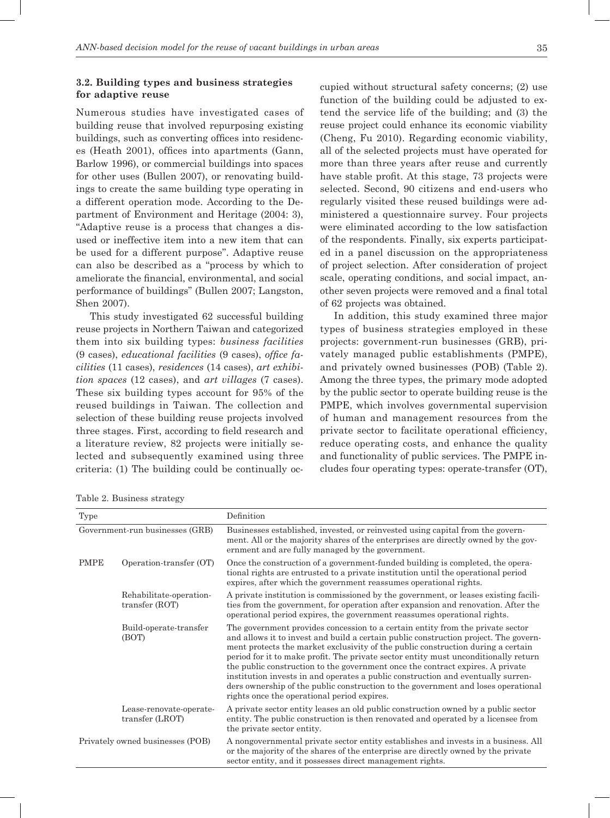# **3.2. Building types and business strategies for adaptive reuse**

Numerous studies have investigated cases of building reuse that involved repurposing existing buildings, such as converting offices into residences (Heath 2001), offices into apartments (Gann, Barlow 1996), or commercial buildings into spaces for other uses (Bullen 2007), or renovating buildings to create the same building type operating in a different operation mode. According to the Department of Environment and Heritage (2004: 3), "Adaptive reuse is a process that changes a disused or ineffective item into a new item that can be used for a different purpose". Adaptive reuse can also be described as a "process by which to ameliorate the financial, environmental, and social performance of buildings" (Bullen 2007; Langston, Shen 2007).

This study investigated 62 successful building reuse projects in Northern Taiwan and categorized them into six building types: *business facilities* (9 cases), *educational facilities* (9 cases), *office facilities* (11 cases), *residences* (14 cases), *art exhibition spaces* (12 cases), and *art villages* (7 cases). These six building types account for 95% of the reused buildings in Taiwan. The collection and selection of these building reuse projects involved three stages. First, according to field research and a literature review, 82 projects were initially selected and subsequently examined using three criteria: (1) The building could be continually occupied without structural safety concerns; (2) use function of the building could be adjusted to extend the service life of the building; and (3) the reuse project could enhance its economic viability (Cheng, Fu 2010). Regarding economic viability, all of the selected projects must have operated for more than three years after reuse and currently have stable profit. At this stage, 73 projects were selected. Second, 90 citizens and end-users who regularly visited these reused buildings were administered a questionnaire survey. Four projects were eliminated according to the low satisfaction of the respondents. Finally, six experts participated in a panel discussion on the appropriateness of project selection. After consideration of project scale, operating conditions, and social impact, another seven projects were removed and a final total of 62 projects was obtained.

In addition, this study examined three major types of business strategies employed in these projects: government-run businesses (GRB), privately managed public establishments (PMPE), and privately owned businesses (POB) (Table 2). Among the three types, the primary mode adopted by the public sector to operate building reuse is the PMPE, which involves governmental supervision of human and management resources from the private sector to facilitate operational efficiency, reduce operating costs, and enhance the quality and functionality of public services. The PMPE includes four operating types: operate-transfer (OT),

Table 2. Business strategy

| Type<br>Government-run businesses (GRB) |                                            | Definition<br>Businesses established, invested, or reinvested using capital from the govern-<br>ment. All or the majority shares of the enterprises are directly owned by the gov-<br>ernment and are fully managed by the government.                                                                                                                                                                                                                                                                                                                                                                                                                      |  |  |
|-----------------------------------------|--------------------------------------------|-------------------------------------------------------------------------------------------------------------------------------------------------------------------------------------------------------------------------------------------------------------------------------------------------------------------------------------------------------------------------------------------------------------------------------------------------------------------------------------------------------------------------------------------------------------------------------------------------------------------------------------------------------------|--|--|
|                                         |                                            |                                                                                                                                                                                                                                                                                                                                                                                                                                                                                                                                                                                                                                                             |  |  |
|                                         | Rehabilitate-operation-<br>transfer (ROT)  | A private institution is commissioned by the government, or leases existing facili-<br>ties from the government, for operation after expansion and renovation. After the<br>operational period expires, the government reassumes operational rights.                                                                                                                                                                                                                                                                                                                                                                                                        |  |  |
|                                         | Build-operate-transfer<br>(BOT)            | The government provides concession to a certain entity from the private sector<br>and allows it to invest and build a certain public construction project. The govern-<br>ment protects the market exclusivity of the public construction during a certain<br>period for it to make profit. The private sector entity must unconditionally return<br>the public construction to the government once the contract expires. A private<br>institution invests in and operates a public construction and eventually surren-<br>ders ownership of the public construction to the government and loses operational<br>rights once the operational period expires. |  |  |
|                                         | Lease-renovate-operate-<br>transfer (LROT) | A private sector entity leases an old public construction owned by a public sector<br>entity. The public construction is then renovated and operated by a licensee from<br>the private sector entity.                                                                                                                                                                                                                                                                                                                                                                                                                                                       |  |  |
| Privately owned businesses (POB)        |                                            | A nongovernmental private sector entity establishes and invests in a business. All<br>or the majority of the shares of the enterprise are directly owned by the private<br>sector entity, and it possesses direct management rights.                                                                                                                                                                                                                                                                                                                                                                                                                        |  |  |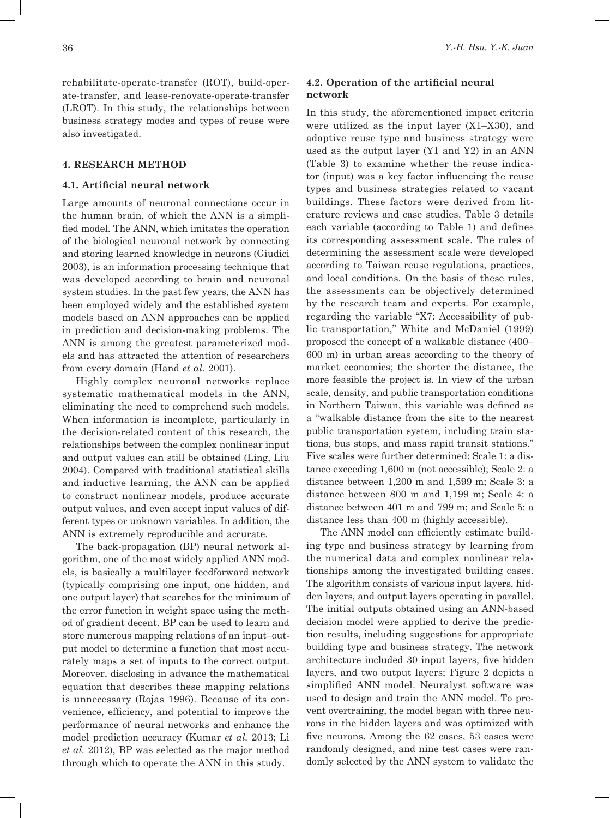rehabilitate-operate-transfer (ROT), build-operate-transfer, and lease-renovate-operate-transfer (LROT). In this study, the relationships between business strategy modes and types of reuse were also investigated.

### **4. Research method**

#### **4.1. Artificial neural network**

Large amounts of neuronal connections occur in the human brain, of which the ANN is a simplified model. The ANN, which imitates the operation of the biological neuronal network by connecting and storing learned knowledge in neurons (Giudici 2003), is an information processing technique that was developed according to brain and neuronal system studies. In the past few years, the ANN has been employed widely and the established system models based on ANN approaches can be applied in prediction and decision-making problems. The ANN is among the greatest parameterized models and has attracted the attention of researchers from every domain (Hand *et al.* 2001).

Highly complex neuronal networks replace systematic mathematical models in the ANN, eliminating the need to comprehend such models. When information is incomplete, particularly in the decision-related content of this research, the relationships between the complex nonlinear input and output values can still be obtained (Ling, Liu 2004). Compared with traditional statistical skills and inductive learning, the ANN can be applied to construct nonlinear models, produce accurate output values, and even accept input values of different types or unknown variables. In addition, the ANN is extremely reproducible and accurate.

The back-propagation (BP) neural network algorithm, one of the most widely applied ANN models, is basically a multilayer feedforward network (typically comprising one input, one hidden, and one output layer) that searches for the minimum of the error function in weight space using the method of gradient decent. BP can be used to learn and store numerous mapping relations of an input–output model to determine a function that most accurately maps a set of inputs to the correct output. Moreover, disclosing in advance the mathematical equation that describes these mapping relations is unnecessary (Rojas 1996). Because of its convenience, efficiency, and potential to improve the performance of neural networks and enhance the model prediction accuracy (Kumar *et al.* 2013; Li *et al.* 2012), BP was selected as the major method through which to operate the ANN in this study.

# **4.2. Operation of the artificial neural network**

In this study, the aforementioned impact criteria were utilized as the input layer (X1–X30), and adaptive reuse type and business strategy were used as the output layer (Y1 and Y2) in an ANN (Table 3) to examine whether the reuse indicator (input) was a key factor influencing the reuse types and business strategies related to vacant buildings. These factors were derived from literature reviews and case studies. Table 3 details each variable (according to Table 1) and defines its corresponding assessment scale. The rules of determining the assessment scale were developed according to Taiwan reuse regulations, practices, and local conditions. On the basis of these rules, the assessments can be objectively determined by the research team and experts. For example, regarding the variable "X7: Accessibility of public transportation," White and McDaniel (1999) proposed the concept of a walkable distance (400– 600 m) in urban areas according to the theory of market economics; the shorter the distance, the more feasible the project is. In view of the urban scale, density, and public transportation conditions in Northern Taiwan, this variable was defined as a "walkable distance from the site to the nearest public transportation system, including train stations, bus stops, and mass rapid transit stations." Five scales were further determined: Scale 1: a distance exceeding 1,600 m (not accessible); Scale 2: a distance between 1,200 m and 1,599 m; Scale 3: a distance between 800 m and 1,199 m; Scale 4: a distance between 401 m and 799 m; and Scale 5: a distance less than 400 m (highly accessible).

The ANN model can efficiently estimate building type and business strategy by learning from the numerical data and complex nonlinear relationships among the investigated building cases. The algorithm consists of various input layers, hidden layers, and output layers operating in parallel. The initial outputs obtained using an ANN-based decision model were applied to derive the prediction results, including suggestions for appropriate building type and business strategy. The network architecture included 30 input layers, five hidden layers, and two output layers; Figure 2 depicts a simplified ANN model. Neuralyst software was used to design and train the ANN model. To prevent overtraining, the model began with three neurons in the hidden layers and was optimized with five neurons. Among the 62 cases, 53 cases were randomly designed, and nine test cases were randomly selected by the ANN system to validate the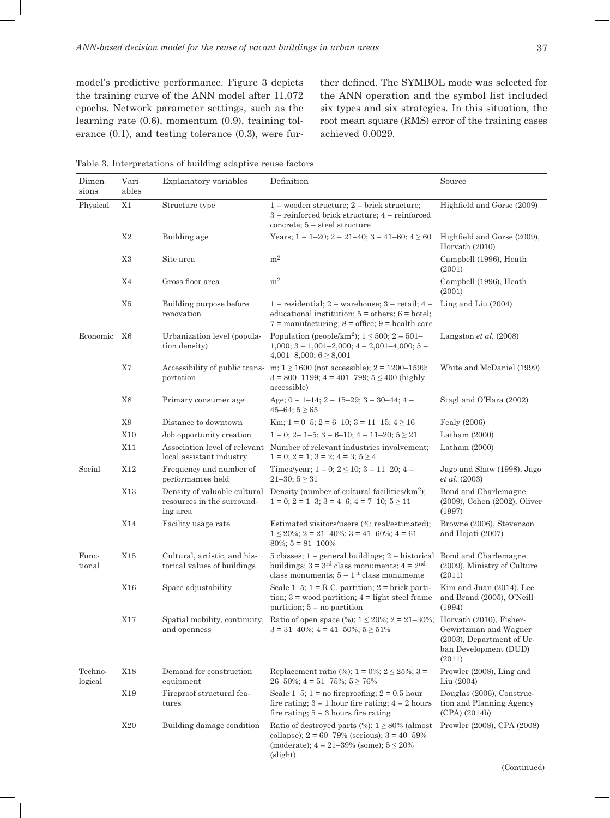model's predictive performance. Figure 3 depicts the training curve of the ANN model after 11,072 epochs. Network parameter settings, such as the learning rate (0.6), momentum (0.9), training tolerance (0.1), and testing tolerance (0.3), were further defined. The SYMBOL mode was selected for the ANN operation and the symbol list included six types and six strategies. In this situation, the root mean square (RMS) error of the training cases achieved 0.0029.

| Dimen-<br>sions    | Vari-<br>ables | Explanatory variables                                       | Definition                                                                                                                                                                             | Source                                                                                   |
|--------------------|----------------|-------------------------------------------------------------|----------------------------------------------------------------------------------------------------------------------------------------------------------------------------------------|------------------------------------------------------------------------------------------|
| Physical           | X1             | Structure type                                              | $1 =$ wooden structure; $2 =$ brick structure;<br>$3$ = reinforced brick structure; $4$ = reinforced<br>$concrete$ ; $5 = steel structure$                                             | Highfield and Gorse (2009)                                                               |
|                    | X2             | Building age                                                | Years; $1 = 1-20$ ; $2 = 21-40$ ; $3 = 41-60$ ; $4 \ge 60$                                                                                                                             | Highfield and Gorse (2009),<br>Horvath $(2010)$                                          |
|                    | X3             | Site area                                                   | m <sup>2</sup>                                                                                                                                                                         | Campbell (1996), Heath<br>(2001)                                                         |
|                    | X <sub>4</sub> | Gross floor area                                            | m <sup>2</sup>                                                                                                                                                                         | Campbell (1996), Heath<br>(2001)                                                         |
|                    | X5             | Building purpose before<br>renovation                       | $1 =$ residential; $2 =$ warehouse; $3 =$ retail; $4 =$<br>educational institution; $5 = \text{others}$ ; $6 = \text{hotel}$ ;<br>$7 =$ manufacturing; $8 =$ office; $9 =$ health care | Ling and Liu $(2004)$                                                                    |
| Economic           | X6             | Urbanization level (popula-<br>tion density)                | Population (people/km <sup>2</sup> ); $1 \le 500$ ; $2 = 501-$<br>$1,000; 3 = 1,001-2,000; 4 = 2,001-4,000; 5 =$<br>$4,001-8,000$ ; $6 \geq 8,001$                                     | Langston <i>et al.</i> $(2008)$                                                          |
|                    | X7             | portation                                                   | Accessibility of public trans- m; $1 \ge 1600$ (not accessible); $2 = 1200-1599$ ;<br>$3 = 800-1199$ ; $4 = 401-799$ ; $5 \le 400$ (highly<br>accessible)                              | White and McDaniel (1999)                                                                |
|                    | X8             | Primary consumer age                                        | Age; $0 = 1-14$ ; $2 = 15-29$ ; $3 = 30-44$ ; $4 =$<br>$45-64$ ; $5 \ge 65$                                                                                                            | Stagl and O'Hara (2002)                                                                  |
|                    | X9             | Distance to downtown                                        | Km; $1 = 0-5$ ; $2 = 6-10$ ; $3 = 11-15$ ; $4 \ge 16$                                                                                                                                  | Fealy (2006)                                                                             |
|                    | X10            | Job opportunity creation                                    | $1 = 0$ ; $2 = 1-5$ ; $3 = 6-10$ ; $4 = 11-20$ ; $5 \ge 21$                                                                                                                            | Latham $(2000)$                                                                          |
|                    | X11            | Association level of relevant<br>local assistant industry   | Number of relevant industries involvement;<br>$1 = 0$ ; $2 = 1$ ; $3 = 2$ ; $4 = 3$ ; $5 \ge 4$                                                                                        | Latham $(2000)$                                                                          |
| Social             | X12            | Frequency and number of<br>performances held                | Times/year; $1 = 0$ ; $2 \le 10$ ; $3 = 11-20$ ; $4 =$<br>$21 - 30$ ; $5 \ge 31$                                                                                                       | Jago and Shaw (1998), Jago<br><i>et al.</i> (2003)                                       |
|                    | X13            | resources in the surround-<br>ing area                      | Density of valuable cultural Density (number of cultural facilities/km <sup>2</sup> );<br>$1 = 0$ ; $2 = 1-3$ ; $3 = 4-6$ ; $4 = 7-10$ ; $5 \ge 11$                                    | Bond and Charlemagne<br>(2009), Cohen (2002), Oliver<br>(1997)                           |
|                    | X14            | Facility usage rate                                         | Estimated visitors/users (%: real/estimated);<br>$1 \le 20\%$ ; $2 = 21 - 40\%$ ; $3 = 41 - 60\%$ ; $4 = 61 -$<br>$80\%$ ; $5 = 81 - 100\%$                                            | Browne (2006), Stevenson<br>and Hojati (2007)                                            |
| Func-<br>tional    | X15            | Cultural, artistic, and his-<br>torical values of buildings | $5$ classes; $1 =$ general buildings; $2 =$ historical<br>buildings; $3 = 3^{rd}$ class monuments; $4 = 2^{nd}$<br>class monuments; $5 = 1st$ class monuments                          | Bond and Charlemagne<br>(2009), Ministry of Culture<br>(2011)                            |
|                    | X16            | Space adjustability                                         | Scale $1-5$ ; $1 = R.C.$ partition; $2 = \text{brick parti}$<br>tion; $3 = wood$ partition; $4 = light$ steel frame<br>partition; $5 = no$ partition                                   | Kim and Juan (2014), Lee<br>and Brand (2005), O'Neill<br>(1994)                          |
|                    | X17            | and openness                                                | Spatial mobility, continuity, Ratio of open space $(\%)$ ; $1 \le 20\%$ ; $2 = 21-30\%$ ; Horvath (2010), Fisher-<br>$3 = 31 - 40\%$ ; $4 = 41 - 50\%$ ; $5 \ge 51\%$                  | Gewirtzman and Wagner<br>$(2003)$ , Department of Ur-<br>ban Development (DUD)<br>(2011) |
| Techno-<br>logical | X18            | Demand for construction<br>equipment                        | Replacement ratio (%); $1 = 0\%$ ; $2 \le 25\%$ ; $3 =$<br>$26-50\%$ ; $4 = 51-75\%$ ; $5 \ge 76\%$                                                                                    | Prowler (2008), Ling and<br>Liu (2004)                                                   |
|                    | X19            | Fireproof structural fea-<br>tures                          | Scale 1-5; $1 =$ no fireproofing; $2 = 0.5$ hour<br>fire rating; $3 = 1$ hour fire rating; $4 = 2$ hours<br>fire rating; $5 = 3$ hours fire rating                                     | Douglas (2006), Construc-<br>tion and Planning Agency<br>(CPA) (2014b)                   |
|                    | X20            | Building damage condition                                   | Ratio of destroyed parts $(\%)$ ; $1 \geq 80\%$ (almost<br>collapse); $2 = 60-79\%$ (serious); $3 = 40-59\%$<br>(moderate); $4 = 21 - 39\%$ (some); $5 \le 20\%$<br>(slight)           | Prowler (2008), CPA (2008)                                                               |
|                    |                |                                                             |                                                                                                                                                                                        | (Continued)                                                                              |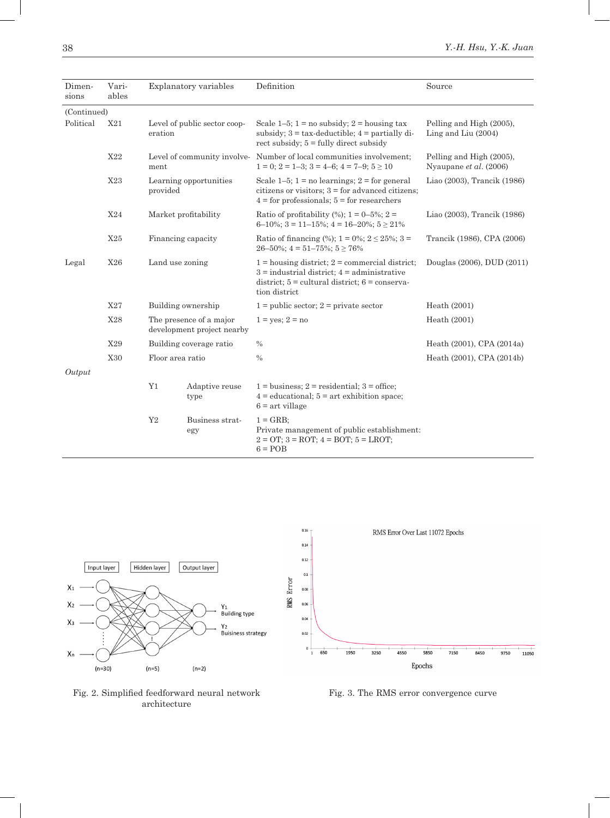| Dimen-<br>sions                                                                               | Vari-<br>ables                 | Explanatory variables                                 |                                                                                                                                                                              | Definition                                                                                                                                               | Source                                               |  |
|-----------------------------------------------------------------------------------------------|--------------------------------|-------------------------------------------------------|------------------------------------------------------------------------------------------------------------------------------------------------------------------------------|----------------------------------------------------------------------------------------------------------------------------------------------------------|------------------------------------------------------|--|
| (Continued)                                                                                   |                                |                                                       |                                                                                                                                                                              |                                                                                                                                                          |                                                      |  |
| Political<br>X21<br>Level of public sector coop-<br>eration<br>X22<br>ment<br>X23<br>provided |                                |                                                       | Scale 1–5; 1 = no subsidy; 2 = housing tax<br>subsidy; $3 = \text{tax-deductible}$ ; $4 = \text{partially di-}$<br>rect subsidy; $5 = \text{fully direct subsidy}$           | Pelling and High (2005),<br>Ling and Liu $(2004)$                                                                                                        |                                                      |  |
|                                                                                               |                                | Level of community involve-                           |                                                                                                                                                                              | Number of local communities involvement;<br>$1 = 0$ ; $2 = 1-3$ ; $3 = 4-6$ ; $4 = 7-9$ ; $5 \ge 10$                                                     | Pelling and High (2005),<br>Nyaupane et al. $(2006)$ |  |
|                                                                                               |                                | Learning opportunities                                |                                                                                                                                                                              | Scale 1-5; $1 =$ no learnings; $2 =$ for general<br>citizens or visitors; $3 =$ for advanced citizens;<br>$4 =$ for professionals; $5 =$ for researchers | Liao (2003), Trancik (1986)                          |  |
|                                                                                               | X24                            |                                                       | Market profitability                                                                                                                                                         | Ratio of profitability $(\%)$ ; 1 = 0–5%; 2 =<br>6-10%; $3 = 11 - 15$ %; $4 = 16 - 20$ %; $5 \ge 21$ %                                                   | Liao (2003), Trancik (1986)                          |  |
| X25                                                                                           |                                | Financing capacity                                    |                                                                                                                                                                              | Ratio of financing (%); $1 = 0\%$ ; $2 \le 25\%$ ; $3 =$<br>$26-50\%$ ; $4 = 51-75\%$ ; $5 \ge 76\%$                                                     | Trancik (1986), CPA (2006)                           |  |
| X26<br>Land use zoning<br>Legal<br>X27<br>Building ownership                                  |                                |                                                       | $1 =$ housing district; $2 =$ commercial district;<br>$3$ = industrial district; $4$ = administrative<br>district; $5 =$ cultural district; $6 =$ conserva-<br>tion district | Douglas (2006), DUD (2011)                                                                                                                               |                                                      |  |
|                                                                                               |                                |                                                       |                                                                                                                                                                              | $1 =$ public sector; $2 =$ private sector                                                                                                                | Heath $(2001)$                                       |  |
|                                                                                               | X28                            | The presence of a major<br>development project nearby |                                                                                                                                                                              | $1 = yes$ ; $2 = no$                                                                                                                                     | Heath $(2001)$                                       |  |
|                                                                                               | X29<br>Building coverage ratio |                                                       |                                                                                                                                                                              | $\%$                                                                                                                                                     | Heath (2001), CPA (2014a)                            |  |
|                                                                                               | X30                            | Floor area ratio                                      |                                                                                                                                                                              | $\frac{0}{0}$                                                                                                                                            | Heath (2001), CPA (2014b)                            |  |
| Output                                                                                        |                                |                                                       |                                                                                                                                                                              |                                                                                                                                                          |                                                      |  |
|                                                                                               |                                | Y1                                                    | Adaptive reuse<br>type                                                                                                                                                       | $1 = \text{business}; 2 = \text{residential}; 3 = \text{offset};$<br>$4 =$ educational; $5 =$ art exhibition space;<br>$6 = art$ village                 |                                                      |  |
|                                                                                               |                                | Y2                                                    | Business strat-<br>egy                                                                                                                                                       | $1 = \text{GRB}$ ;<br>Private management of public establishment:<br>$2 = OT$ ; $3 = ROT$ ; $4 = BOT$ ; $5 = LROT$ ;<br>$6 = POB$                        |                                                      |  |





Fig. 3. The RMS error convergence curve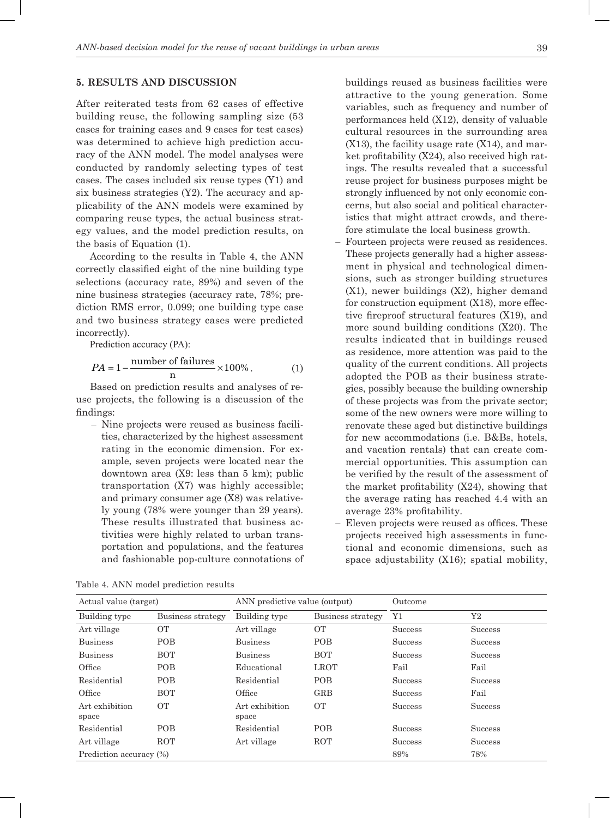# **5. Results and discussion**

After reiterated tests from 62 cases of effective building reuse, the following sampling size (53 cases for training cases and 9 cases for test cases) was determined to achieve high prediction accuracy of the ANN model. The model analyses were conducted by randomly selecting types of test cases. The cases included six reuse types (Y1) and six business strategies (Y2). The accuracy and applicability of the ANN models were examined by comparing reuse types, the actual business strategy values, and the model prediction results, on the basis of Equation (1).

According to the results in Table 4, the ANN correctly classified eight of the nine building type selections (accuracy rate, 89%) and seven of the nine business strategies (accuracy rate, 78%; prediction RMS error, 0.099; one building type case and two business strategy cases were predicted incorrectly).

Prediction accuracy (PA):

$$
PA = 1 - \frac{\text{number of failures}}{\text{n}} \times 100\% \,. \tag{1}
$$

Based on prediction results and analyses of reuse projects, the following is a discussion of the findings:

– Nine projects were reused as business facilities, characterized by the highest assessment rating in the economic dimension. For example, seven projects were located near the downtown area (X9: less than 5 km); public transportation (X7) was highly accessible; and primary consumer age (X8) was relatively young (78% were younger than 29 years). These results illustrated that business activities were highly related to urban transportation and populations, and the features and fashionable pop-culture connotations of

|  |  |  | Table 4. ANN model prediction results |  |
|--|--|--|---------------------------------------|--|
|--|--|--|---------------------------------------|--|

buildings reused as business facilities were attractive to the young generation. Some variables, such as frequency and number of performances held (X12), density of valuable cultural resources in the surrounding area (X13), the facility usage rate (X14), and market profitability (X24), also received high ratings. The results revealed that a successful reuse project for business purposes might be strongly influenced by not only economic concerns, but also social and political characteristics that might attract crowds, and therefore stimulate the local business growth.

- Fourteen projects were reused as residences. These projects generally had a higher assessment in physical and technological dimensions, such as stronger building structures (X1), newer buildings (X2), higher demand for construction equipment (X18), more effective fireproof structural features (X19), and more sound building conditions (X20). The results indicated that in buildings reused as residence, more attention was paid to the quality of the current conditions. All projects adopted the POB as their business strategies, possibly because the building ownership of these projects was from the private sector; some of the new owners were more willing to renovate these aged but distinctive buildings for new accommodations (i.e. B&Bs, hotels, and vacation rentals) that can create commercial opportunities. This assumption can be verified by the result of the assessment of the market profitability (X24), showing that the average rating has reached 4.4 with an average 23% profitability.
- Eleven projects were reused as offices. These projects received high assessments in functional and economic dimensions, such as space adjustability (X16); spatial mobility,

| Actual value (target)   |                   | ANN predictive value (output) |                   | Outcome        |                     |
|-------------------------|-------------------|-------------------------------|-------------------|----------------|---------------------|
| Building type           | Business strategy | Building type                 | Business strategy | Y1             | $\operatorname{Y2}$ |
| Art village             | <b>OT</b>         | Art village                   | OТ                | <b>Success</b> | <b>Success</b>      |
| <b>Business</b>         | POB               | <b>Business</b>               | POB               | <b>Success</b> | <b>Success</b>      |
| <b>Business</b>         | <b>BOT</b>        | <b>Business</b>               | <b>BOT</b>        | <b>Success</b> | <b>Success</b>      |
| Office                  | PO <sub>B</sub>   | Educational                   | <b>LROT</b>       | Fail           | Fail                |
| Residential             | POB               | Residential                   | POB               | <b>Success</b> | <b>Success</b>      |
| Office                  | <b>BOT</b>        | Office                        | <b>GRB</b>        | <b>Success</b> | Fail                |
| Art exhibition<br>space | <b>OT</b>         | Art exhibition<br>space       | <b>OT</b>         | <b>Success</b> | <b>Success</b>      |
| Residential             | POB               | Residential                   | POB               | <b>Success</b> | <b>Success</b>      |
| Art village             | ROT               | Art village                   | ROT               | <b>Success</b> | <b>Success</b>      |
| Prediction accuracy (%) |                   |                               |                   | 89%            | 78%                 |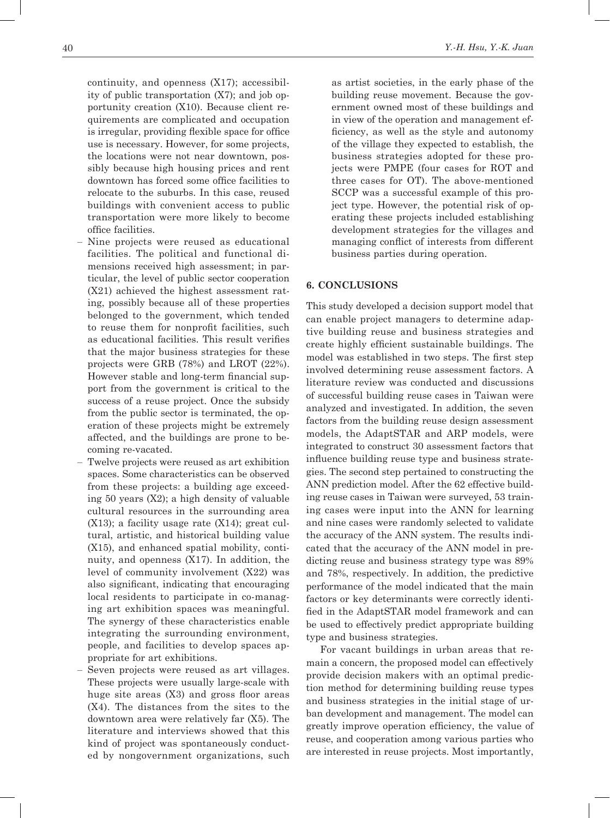continuity, and openness (X17); accessibility of public transportation (X7); and job opportunity creation (X10). Because client requirements are complicated and occupation is irregular, providing flexible space for office use is necessary. However, for some projects, the locations were not near downtown, possibly because high housing prices and rent downtown has forced some office facilities to relocate to the suburbs. In this case, reused buildings with convenient access to public transportation were more likely to become office facilities.

- Nine projects were reused as educational facilities. The political and functional dimensions received high assessment; in particular, the level of public sector cooperation (X21) achieved the highest assessment rating, possibly because all of these properties belonged to the government, which tended to reuse them for nonprofit facilities, such as educational facilities. This result verifies that the major business strategies for these projects were GRB (78%) and LROT (22%). However stable and long-term financial support from the government is critical to the success of a reuse project. Once the subsidy from the public sector is terminated, the operation of these projects might be extremely affected, and the buildings are prone to becoming re-vacated.
- Twelve projects were reused as art exhibition spaces. Some characteristics can be observed from these projects: a building age exceeding 50 years (X2); a high density of valuable cultural resources in the surrounding area (X13); a facility usage rate (X14); great cultural, artistic, and historical building value (X15), and enhanced spatial mobility, continuity, and openness (X17). In addition, the level of community involvement (X22) was also significant, indicating that encouraging local residents to participate in co-managing art exhibition spaces was meaningful. The synergy of these characteristics enable integrating the surrounding environment, people, and facilities to develop spaces appropriate for art exhibitions.
- Seven projects were reused as art villages. These projects were usually large-scale with huge site areas (X3) and gross floor areas (X4). The distances from the sites to the downtown area were relatively far (X5). The literature and interviews showed that this kind of project was spontaneously conducted by nongovernment organizations, such

as artist societies, in the early phase of the building reuse movement. Because the government owned most of these buildings and in view of the operation and management efficiency, as well as the style and autonomy of the village they expected to establish, the business strategies adopted for these projects were PMPE (four cases for ROT and three cases for OT). The above-mentioned SCCP was a successful example of this project type. However, the potential risk of operating these projects included establishing development strategies for the villages and managing conflict of interests from different business parties during operation.

## **6. ConclusionS**

This study developed a decision support model that can enable project managers to determine adaptive building reuse and business strategies and create highly efficient sustainable buildings. The model was established in two steps. The first step involved determining reuse assessment factors. A literature review was conducted and discussions of successful building reuse cases in Taiwan were analyzed and investigated. In addition, the seven factors from the building reuse design assessment models, the AdaptSTAR and ARP models, were integrated to construct 30 assessment factors that influence building reuse type and business strategies. The second step pertained to constructing the ANN prediction model. After the 62 effective building reuse cases in Taiwan were surveyed, 53 training cases were input into the ANN for learning and nine cases were randomly selected to validate the accuracy of the ANN system. The results indicated that the accuracy of the ANN model in predicting reuse and business strategy type was 89% and 78%, respectively. In addition, the predictive performance of the model indicated that the main factors or key determinants were correctly identified in the AdaptSTAR model framework and can be used to effectively predict appropriate building type and business strategies.

For vacant buildings in urban areas that remain a concern, the proposed model can effectively provide decision makers with an optimal prediction method for determining building reuse types and business strategies in the initial stage of urban development and management. The model can greatly improve operation efficiency, the value of reuse, and cooperation among various parties who are interested in reuse projects. Most importantly,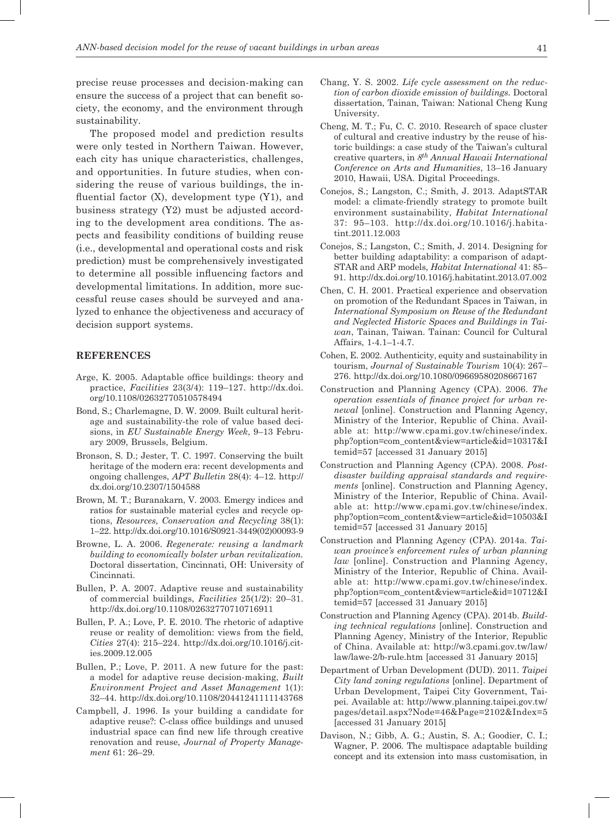precise reuse processes and decision-making can ensure the success of a project that can benefit society, the economy, and the environment through sustainability.

The proposed model and prediction results were only tested in Northern Taiwan. However, each city has unique characteristics, challenges, and opportunities. In future studies, when considering the reuse of various buildings, the influential factor  $(X)$ , development type  $(Y1)$ , and business strategy (Y2) must be adjusted according to the development area conditions. The aspects and feasibility conditions of building reuse (i.e., developmental and operational costs and risk prediction) must be comprehensively investigated to determine all possible influencing factors and developmental limitations. In addition, more successful reuse cases should be surveyed and analyzed to enhance the objectiveness and accuracy of decision support systems.

#### **REFERENCES**

- Arge, K. 2005. Adaptable office buildings: theory and practice, *Facilities* 23(3/4): 119–127. http://dx.doi. org/10.1108/02632770510578494
- Bond, S.; Charlemagne, D. W. 2009. Built cultural heritage and sustainability-the role of value based decisions, in *EU Sustainable Energy Week*, 9–13 February 2009, Brussels, Belgium.
- Bronson, S. D.; Jester, T. C. 1997. Conserving the built heritage of the modern era: recent developments and ongoing challenges, *APT Bulletin* 28(4): 4–12. http:// dx.doi.org/10.2307/1504588
- Brown, M. T.; Buranakarn, V. 2003. Emergy indices and ratios for sustainable material cycles and recycle options, *Resources, Conservation and Recycling* 38(1): 1–22. http://dx.doi.org/10.1016/S0921-3449(02)00093-9
- Browne, L. A. 2006. *Regenerate: reusing a landmark building to economically bolster urban revitalization.* Doctoral dissertation, Cincinnati, OH: University of Cincinnati.
- Bullen, P. A. 2007. Adaptive reuse and sustainability of commercial buildings, *Facilities* 25(1/2): 20–31. http://dx.doi.org/10.1108/02632770710716911
- Bullen, P. A.; Love, P. E. 2010. The rhetoric of adaptive reuse or reality of demolition: views from the field, *Cities* 27(4): 215–224. http://dx.doi.org/10.1016/j.cities.2009.12.005
- Bullen, P.; Love, P. 2011. A new future for the past: a model for adaptive reuse decision-making, *Built Environment Project and Asset Management* 1(1): 32–44. http://dx.doi.org/10.1108/20441241111143768
- Campbell, J. 1996. Is your building a candidate for adaptive reuse?: C-class office buildings and unused industrial space can find new life through creative renovation and reuse, *Journal of Property Management* 61: 26–29.
- Chang, Y. S. 2002. *Life cycle assessment on the reduction of carbon dioxide emission of buildings.* Doctoral dissertation, Tainan, Taiwan: National Cheng Kung University.
- Cheng, M. T.; Fu, C. C. 2010. Research of space cluster of cultural and creative industry by the reuse of historic buildings: a case study of the Taiwan's cultural creative quarters, in *8th Annual Hawaii International Conference on Arts and Humanities*, 13–16 January 2010, Hawaii, USA. Digital Proceedings.
- Conejos, S.; Langston, C.; Smith, J. 2013. AdaptSTAR model: a climate-friendly strategy to promote built environment sustainability, *Habitat International* 37: 95–103. http://dx.doi.org/10.1016/j.habitatint.2011.12.003
- Conejos, S.; Langston, C.; Smith, J. 2014. Designing for better building adaptability: a comparison of adapt-STAR and ARP models, *Habitat International* 41: 85– 91. http://dx.doi.org/10.1016/j.habitatint.2013.07.002
- Chen, C. H. 2001. Practical experience and observation on promotion of the Redundant Spaces in Taiwan, in *International Symposium on Reuse of the Redundant and Neglected Historic Spaces and Buildings in Taiwan*, Tainan, Taiwan. Tainan: Council for Cultural Affairs, 1-4.1–1-4.7.
- Cohen, E. 2002. Authenticity, equity and sustainability in tourism, *Journal of Sustainable Tourism* 10(4): 267– 276. http://dx.doi.org/10.1080/09669580208667167
- Construction and Planning Agency (CPA). 2006. *The operation essentials of finance project for urban renewal* [online]. Construction and Planning Agency, Ministry of the Interior, Republic of China. Available at: http://www.cpami.gov.tw/chinese/index. php?option=com\_content&view=article&id=10317&I temid=57 [accessed 31 January 2015]
- Construction and Planning Agency (CPA). 2008. *Postdisaster building appraisal standards and requirements* [online]. Construction and Planning Agency, Ministry of the Interior, Republic of China. Available at: http://www.cpami.gov.tw/chinese/index. php?option=com\_content&view=article&id=10503&I temid=57 [accessed 31 January 2015]
- Construction and Planning Agency (CPA). 2014a. *Taiwan province's enforcement rules of urban planning law* [online]. Construction and Planning Agency, Ministry of the Interior, Republic of China. Available at: http://www.cpami.gov.tw/chinese/index. php?option=com\_content&view=article&id=10712&I temid=57 [accessed 31 January 2015]
- Construction and Planning Agency (CPA). 2014b. *Building technical regulations* [online]. Construction and Planning Agency, Ministry of the Interior, Republic of China. Available at: http://w3.cpami.gov.tw/law/ law/lawe-2/b-rule.htm [accessed 31 January 2015]
- Department of Urban Development (DUD). 2011. *Taipei City land zoning regulations* [online]. Department of Urban Development, Taipei City Government, Taipei. Available at: http://www.planning.taipei.gov.tw/ pages/detail.aspx?Node=46&Page=2102&Index=5 [accessed 31 January 2015]
- Davison, N.; Gibb, A. G.; Austin, S. A.; Goodier, C. I.; Wagner, P. 2006. The multispace adaptable building concept and its extension into mass customisation, in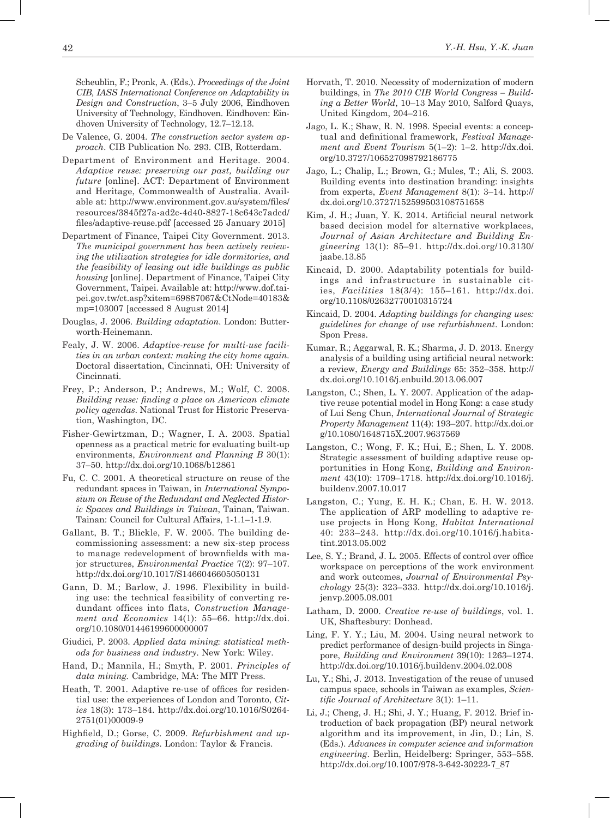Scheublin, F.; Pronk, A. (Eds.). *Proceedings of the Joint CIB, IASS International Conference on Adaptability in Design and Construction*, 3–5 July 2006, Eindhoven University of Technology, Eindhoven. Eindhoven: Eindhoven University of Technology, 12.7–12.13.

- De Valence, G. 2004. *The construction sector system approach*. CIB Publication No. 293. CIB, Rotterdam.
- Department of Environment and Heritage. 2004. *Adaptive reuse: preserving our past, building our future* [online]. ACT: Department of Environment and Heritage, Commonwealth of Australia. Available at: http://www.environment.gov.au/system/files/ resources/3845f27a-ad2c-4d40-8827-18c643c7adcd/ files/adaptive-reuse.pdf [accessed 25 January 2015]
- Department of Finance, Taipei City Government. 2013. *The municipal government has been actively reviewing the utilization strategies for idle dormitories, and the feasibility of leasing out idle buildings as public housing* [online]. Department of Finance, Taipei City Government, Taipei. Available at: http://www.dof.taipei.gov.tw/ct.asp?xitem=69887067&CtNode=40183& mp=103007 [accessed 8 August 2014]
- Douglas, J. 2006. *Building adaptation*. London: Butterworth-Heinemann.
- Fealy, J. W. 2006. *Adaptive-reuse for multi-use facilities in an urban context: making the city home again.* Doctoral dissertation, Cincinnati, OH: University of Cincinnati.
- Frey, P.; Anderson, P.; Andrews, M.; Wolf, C. 2008. *Building reuse: finding a place on American climate policy agendas*. National Trust for Historic Preservation, Washington, DC.
- Fisher-Gewirtzman, D.; Wagner, I. A. 2003. Spatial openness as a practical metric for evaluating built-up environments, *Environment and Planning B* 30(1): 37–50. http://dx.doi.org/10.1068/b12861
- Fu, C. C. 2001. A theoretical structure on reuse of the redundant spaces in Taiwan, in *International Symposium on Reuse of the Redundant and Neglected Historic Spaces and Buildings in Taiwan*, Tainan, Taiwan. Tainan: Council for Cultural Affairs, 1-1.1–1-1.9.
- Gallant, B. T.; Blickle, F. W. 2005. The building decommissioning assessment: a new six-step process to manage redevelopment of brownfields with major structures, *Environmental Practice* 7(2): 97–107. http://dx.doi.org/10.1017/S1466046605050131
- Gann, D. M.; Barlow, J. 1996. Flexibility in building use: the technical feasibility of converting redundant offices into flats, *Construction Management and Economics* 14(1): 55–66. http://dx.doi. org/10.1080/01446199600000007
- Giudici, P. 2003. *Applied data mining: statistical methods for business and industry*. New York: Wiley.
- Hand, D.; Mannila, H.; Smyth, P. 2001. *Principles of data mining.* Cambridge, MA: The MIT Press.
- Heath, T. 2001. Adaptive re-use of offices for residential use: the experiences of London and Toronto, *Cities* 18(3): 173–184. http://dx.doi.org/10.1016/S0264- 2751(01)00009-9
- Highfield, D.; Gorse, C. 2009. *Refurbishment and upgrading of buildings*. London: Taylor & Francis.
- Horvath, T. 2010. Necessity of modernization of modern buildings, in *The 2010 CIB World Congress – Building a Better World*, 10–13 May 2010, Salford Quays, United Kingdom, 204–216.
- Jago, L. K.; Shaw, R. N. 1998. Special events: a conceptual and definitional framework, *Festival Management and Event Tourism* 5(1–2): 1–2. http://dx.doi. org/10.3727/106527098792186775
- Jago, L.; Chalip, L.; Brown, G.; Mules, T.; Ali, S. 2003. Building events into destination branding: insights from experts, *Event Management* 8(1): 3–14. http:// dx.doi.org/10.3727/152599503108751658
- Kim, J. H.; Juan, Y. K. 2014. Artificial neural network based decision model for alternative workplaces, *Journal of Asian Architecture and Building Engineering* 13(1): 85–91. http://dx.doi.org/10.3130/ jaabe.13.85
- Kincaid, D. 2000. Adaptability potentials for buildings and infrastructure in sustainable cities, *Facilities* 18(3/4): 155–161. http://dx.doi. org/10.1108/02632770010315724
- Kincaid, D. 2004. *Adapting buildings for changing uses: guidelines for change of use refurbishment*. London: Spon Press.
- Kumar, R.; Aggarwal, R. K.; Sharma, J. D. 2013. Energy analysis of a building using artificial neural network: a review, *Energy and Buildings* 65: 352–358. http:// dx.doi.org/10.1016/j.enbuild.2013.06.007
- Langston, C.; Shen, L. Y. 2007. Application of the adaptive reuse potential model in Hong Kong: a case study of Lui Seng Chun, *International Journal of Strategic Property Management* 11(4): 193–207. http://dx.doi.or g/10.1080/1648715X.2007.9637569
- Langston, C.; Wong, F. K.; Hui, E.; Shen, L. Y. 2008. Strategic assessment of building adaptive reuse opportunities in Hong Kong, *Building and Environment* 43(10): 1709–1718. http://dx.doi.org/10.1016/j. buildenv.2007.10.017
- Langston, C.; Yung, E. H. K.; Chan, E. H. W. 2013. The application of ARP modelling to adaptive reuse projects in Hong Kong, *Habitat International* 40: 233–243. http://dx.doi.org/10.1016/j.habitatint.2013.05.002
- Lee, S. Y.; Brand, J. L. 2005. Effects of control over office workspace on perceptions of the work environment and work outcomes, *Journal of Environmental Psychology* 25(3): 323–333. http://dx.doi.org/10.1016/j. jenvp.2005.08.001
- Latham, D. 2000. *Creative re-use of buildings*, vol. 1. UK, Shaftesbury: Donhead.
- Ling, F. Y. Y.; Liu, M. 2004. Using neural network to predict performance of design-build projects in Singapore, *Building and Environment* 39(10): 1263–1274. http://dx.doi.org/10.1016/j.buildenv.2004.02.008
- Lu, Y.; Shi, J. 2013. Investigation of the reuse of unused campus space, schools in Taiwan as examples, *Scientific Journal of Architecture* 3(1): 1–11.
- Li, J.; Cheng, J. H.; Shi, J. Y.; Huang, F. 2012. Brief introduction of back propagation (BP) neural network algorithm and its improvement, in Jin, D.; Lin, S. (Eds.). *Advances in computer science and information engineering*. Berlin, Heidelberg: Springer, 553–558. http://dx.doi.org/10.1007/978-3-642-30223-7\_87